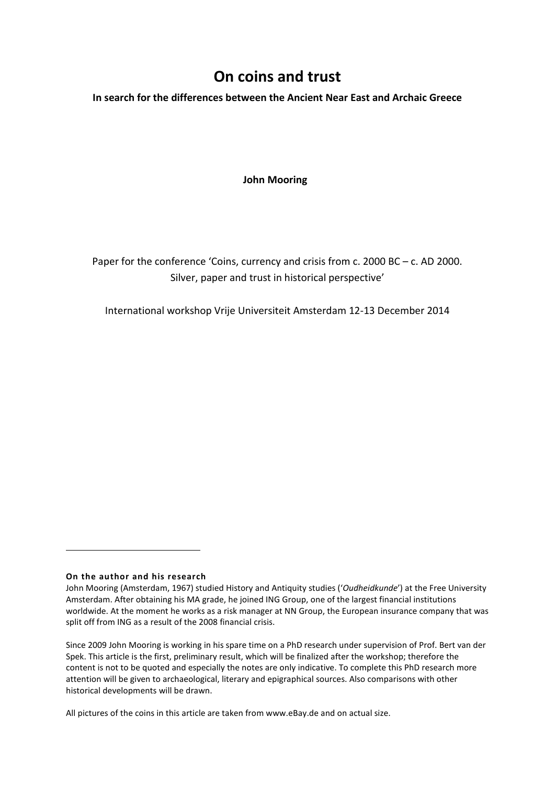# **On coins and trust**

**In search for the differences between the Ancient Near East and Archaic Greece**

#### **John Mooring**

Paper for the conference 'Coins, currency and crisis from c. 2000 BC – c. AD 2000. Silver, paper and trust in historical perspective'

International workshop Vrije Universiteit Amsterdam 12-13 December 2014

#### <span id="page-0-0"></span>**On the author and his research**

 $\overline{a}$ 

Since 2009 John Mooring is working in his spare time on a PhD research under supervision of Prof. Bert van der Spek. This article is the first, preliminary result, which will be finalized after the workshop; therefore the content is not to be quoted and especially the notes are only indicative. To complete this PhD research more attention will be given to archaeological, literary and epigraphical sources. Also comparisons with other historical developments will be drawn.

All pictures of the coins in this article are taken from www.eBay.de and on actual size.

John Mooring (Amsterdam, 1967) studied History and Antiquity studies ('*Oudheidkunde*') at the Free University Amsterdam. After obtaining his MA grade, he joined ING Group, one of the largest financial institutions worldwide. At the moment he works as a risk manager at NN Group, the European insurance company that was split off from ING as a result of the 2008 financial crisis.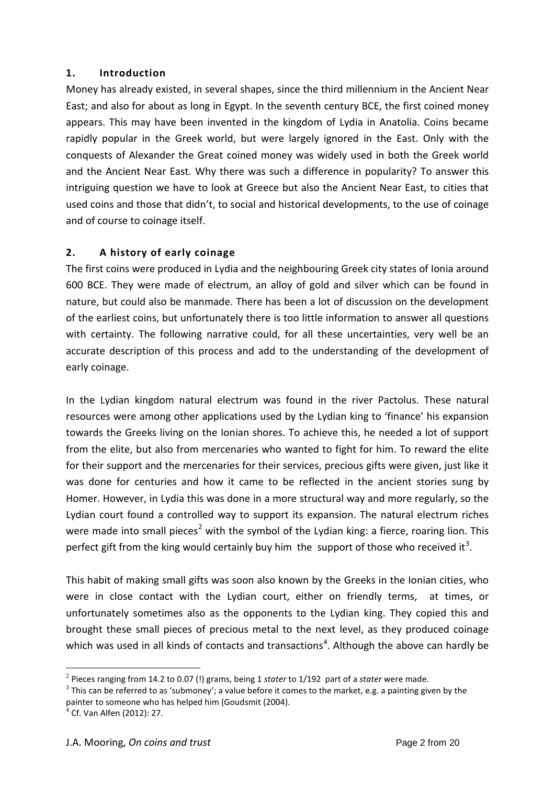### **1. Introduction**

Money has already existed, in several shapes, since the third millennium in the Ancient Near East; and also for about as long in Egypt. In the seventh century BCE, the first coined money appears. This may have been invented in the kingdom of Lydia in Anatolia. Coins became rapidly popular in the Greek world, but were largely ignored in the East. Only with the conquests of Alexander the Great coined money was widely used in both the Greek world and the Ancient Near East. Why there was such a difference in popularity? To answer this intriguing question we have to look at Greece but also the Ancient Near East, to cities that used coins and those that didn't, to social and historical developments, to the use of coinage and of course to coinage itself.

# **2. A history of early coinage**

The first coins were produced in Lydia and the neighbouring Greek city states of Ionia around 600 BCE. They were made of electrum, an alloy of gold and silver which can be found in nature, but could also be manmade. There has been a lot of discussion on the development of the earliest coins, but unfortunately there is too little information to answer all questions with certainty. The following narrative could, for all these uncertainties, very well be an accurate description of this process and add to the understanding of the development of early coinage.

In the Lydian kingdom natural electrum was found in the river Pactolus. These natural resources were among other applications used by the Lydian king to 'finance' his expansion towards the Greeks living on the Ionian shores. To achieve this, he needed a lot of support from the elite, but also from mercenaries who wanted to fight for him. To reward the elite for their support and the mercenaries for their services, precious gifts were given, just like it was done for centuries and how it came to be reflected in the ancient stories sung by Homer. However, in Lydia this was done in a more structural way and more regularly, so the Lydian court found a controlled way to support its expansion. The natural electrum riches were made into small pieces<sup>[2](#page-1-0)</sup> with the symbol of the Lydian king: a fierce, roaring lion. This perfect gift from the king would certainly buy him the support of those who received it<sup>[3](#page-1-1)</sup>.

This habit of making small gifts was soon also known by the Greeks in the Ionian cities, who were in close contact with the Lydian court, either on friendly terms, at times, or unfortunately sometimes also as the opponents to the Lydian king. They copied this and brought these small pieces of precious metal to the next level, as they produced coinage which was used in all kinds of contacts and transactions<sup>[4](#page-1-2)</sup>. Although the above can hardly be

<span id="page-1-0"></span><sup>2</sup> Pieces ranging from 14.2 to 0.07 (!) grams, being 1 *stater* to 1/192 part of a *stater* were made.

<span id="page-1-1"></span> $3$  This can be referred to as 'submoney'; a value before it comes to the market, e.g. a painting given by the painter to someone who has helped him (Goudsmit (2004).

<span id="page-1-2"></span> $4$  Cf. Van Alfen (2012): 27.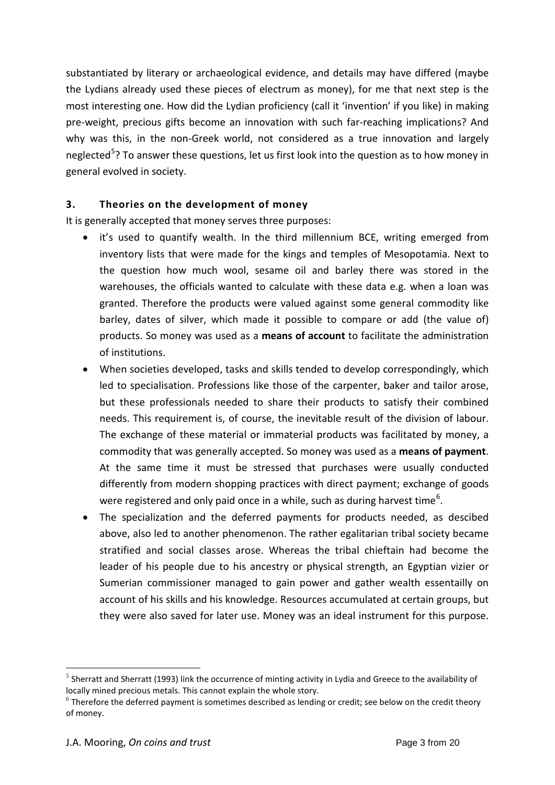substantiated by literary or archaeological evidence, and details may have differed (maybe the Lydians already used these pieces of electrum as money), for me that next step is the most interesting one. How did the Lydian proficiency (call it 'invention' if you like) in making pre-weight, precious gifts become an innovation with such far-reaching implications? And why was this, in the non-Greek world, not considered as a true innovation and largely neglected<sup>[5](#page-2-0)</sup>? To answer these questions, let us first look into the question as to how money in general evolved in society.

## **3. Theories on the development of money**

It is generally accepted that money serves three purposes:

- it's used to quantify wealth. In the third millennium BCE, writing emerged from inventory lists that were made for the kings and temples of Mesopotamia. Next to the question how much wool, sesame oil and barley there was stored in the warehouses, the officials wanted to calculate with these data e.g. when a loan was granted. Therefore the products were valued against some general commodity like barley, dates of silver, which made it possible to compare or add (the value of) products. So money was used as a **means of account** to facilitate the administration of institutions.
- When societies developed, tasks and skills tended to develop correspondingly, which led to specialisation. Professions like those of the carpenter, baker and tailor arose, but these professionals needed to share their products to satisfy their combined needs. This requirement is, of course, the inevitable result of the division of labour. The exchange of these material or immaterial products was facilitated by money, a commodity that was generally accepted. So money was used as a **means of payment**. At the same time it must be stressed that purchases were usually conducted differently from modern shopping practices with direct payment; exchange of goods were registered and only paid once in a while, such as during harvest time<sup>[6](#page-2-1)</sup>.
- The specialization and the deferred payments for products needed, as descibed above, also led to another phenomenon. The rather egalitarian tribal society became stratified and social classes arose. Whereas the tribal chieftain had become the leader of his people due to his ancestry or physical strength, an Egyptian vizier or Sumerian commissioner managed to gain power and gather wealth essentailly on account of his skills and his knowledge. Resources accumulated at certain groups, but they were also saved for later use. Money was an ideal instrument for this purpose.

<span id="page-2-0"></span><sup>&</sup>lt;sup>5</sup> Sherratt and Sherratt (1993) link the occurrence of minting activity in Lydia and Greece to the availability of locally mined precious metals. This cannot explain the whole story.

<span id="page-2-1"></span> $6$  Therefore the deferred payment is sometimes described as lending or credit; see below on the credit theory of money.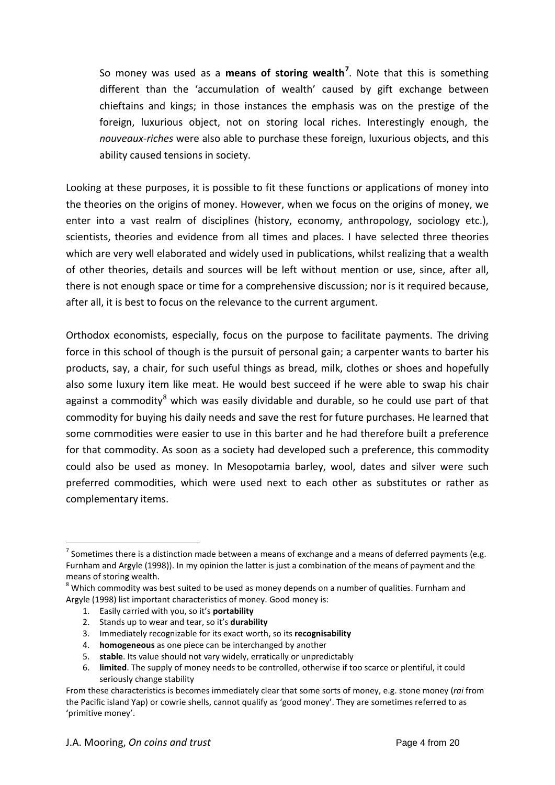So money was used as a **means of storing wealth[7](#page-3-0)** . Note that this is something different than the 'accumulation of wealth' caused by gift exchange between chieftains and kings; in those instances the emphasis was on the prestige of the foreign, luxurious object, not on storing local riches. Interestingly enough, the *nouveaux-riches* were also able to purchase these foreign, luxurious objects, and this ability caused tensions in society.

Looking at these purposes, it is possible to fit these functions or applications of money into the theories on the origins of money. However, when we focus on the origins of money, we enter into a vast realm of disciplines (history, economy, anthropology, sociology etc.), scientists, theories and evidence from all times and places. I have selected three theories which are very well elaborated and widely used in publications, whilst realizing that a wealth of other theories, details and sources will be left without mention or use, since, after all, there is not enough space or time for a comprehensive discussion; nor is it required because, after all, it is best to focus on the relevance to the current argument.

<span id="page-3-2"></span>Orthodox economists, especially, focus on the purpose to facilitate payments. The driving force in this school of though is the pursuit of personal gain; a carpenter wants to barter his products, say, a chair, for such useful things as bread, milk, clothes or shoes and hopefully also some luxury item like meat. He would best succeed if he were able to swap his chair against a commodity $8$  which was easily dividable and durable, so he could use part of that commodity for buying his daily needs and save the rest for future purchases. He learned that some commodities were easier to use in this barter and he had therefore built a preference for that commodity. As soon as a society had developed such a preference, this commodity could also be used as money. In Mesopotamia barley, wool, dates and silver were such preferred commodities, which were used next to each other as substitutes or rather as complementary items.

- 1. Easily carried with you, so it's **portability**
- 2. Stands up to wear and tear, so it's **durability**
- 3. Immediately recognizable for its exact worth, so its **recognisability**
- 4. **homogeneous** as one piece can be interchanged by another
- 5. **stable**. Its value should not vary widely, erratically or unpredictably
- 6. **limited**. The supply of money needs to be controlled, otherwise if too scarce or plentiful, it could seriously change stability

<span id="page-3-0"></span><sup>&</sup>lt;sup>7</sup> Sometimes there is a distinction made between a means of exchange and a means of deferred payments (e.g. Furnham and Argyle (1998)). In my opinion the latter is just a combination of the means of payment and the means of storing wealth.

<span id="page-3-1"></span> $8$  Which commodity was best suited to be used as money depends on a number of qualities. Furnham and Argyle (1998) list important characteristics of money. Good money is:

From these characteristics is becomes immediately clear that some sorts of money, e.g. stone money (*rai* from the Pacific island Yap) or cowrie shells, cannot qualify as 'good money'. They are sometimes referred to as 'primitive money'.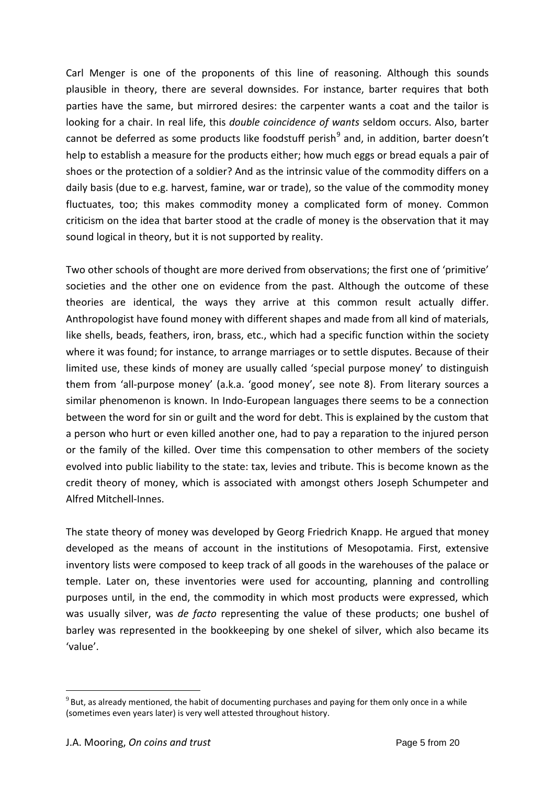Carl Menger is one of the proponents of this line of reasoning. Although this sounds plausible in theory, there are several downsides. For instance, barter requires that both parties have the same, but mirrored desires: the carpenter wants a coat and the tailor is looking for a chair. In real life, this *double coincidence of wants* seldom occurs. Also, barter cannot be deferred as some products like foodstuff perish<sup>[9](#page-4-0)</sup> and, in addition, barter doesn't help to establish a measure for the products either; how much eggs or bread equals a pair of shoes or the protection of a soldier? And as the intrinsic value of the commodity differs on a daily basis (due to e.g. harvest, famine, war or trade), so the value of the commodity money fluctuates, too; this makes commodity money a complicated form of money. Common criticism on the idea that barter stood at the cradle of money is the observation that it may sound logical in theory, but it is not supported by reality.

Two other schools of thought are more derived from observations; the first one of 'primitive' societies and the other one on evidence from the past. Although the outcome of these theories are identical, the ways they arrive at this common result actually differ. Anthropologist have found money with different shapes and made from all kind of materials, like shells, beads, feathers, iron, brass, etc., which had a specific function within the society where it was found; for instance, to arrange marriages or to settle disputes. Because of their limited use, these kinds of money are usually called 'special purpose money' to distinguish them from 'all-purpose money' (a.k.a. 'good money', see note [8\)](#page-3-2). From literary sources a similar phenomenon is known. In Indo-European languages there seems to be a connection between the word for sin or guilt and the word for debt. This is explained by the custom that a person who hurt or even killed another one, had to pay a reparation to the injured person or the family of the killed. Over time this compensation to other members of the society evolved into public liability to the state: tax, levies and tribute. This is become known as the credit theory of money, which is associated with amongst others Joseph Schumpeter and Alfred Mitchell-Innes.

The state theory of money was developed by Georg Friedrich Knapp. He argued that money developed as the means of account in the institutions of Mesopotamia. First, extensive inventory lists were composed to keep track of all goods in the warehouses of the palace or temple. Later on, these inventories were used for accounting, planning and controlling purposes until, in the end, the commodity in which most products were expressed, which was usually silver, was *de facto* representing the value of these products; one bushel of barley was represented in the bookkeeping by one shekel of silver, which also became its 'value'.

<span id="page-4-0"></span> $9$  But, as already mentioned, the habit of documenting purchases and paying for them only once in a while (sometimes even years later) is very well attested throughout history.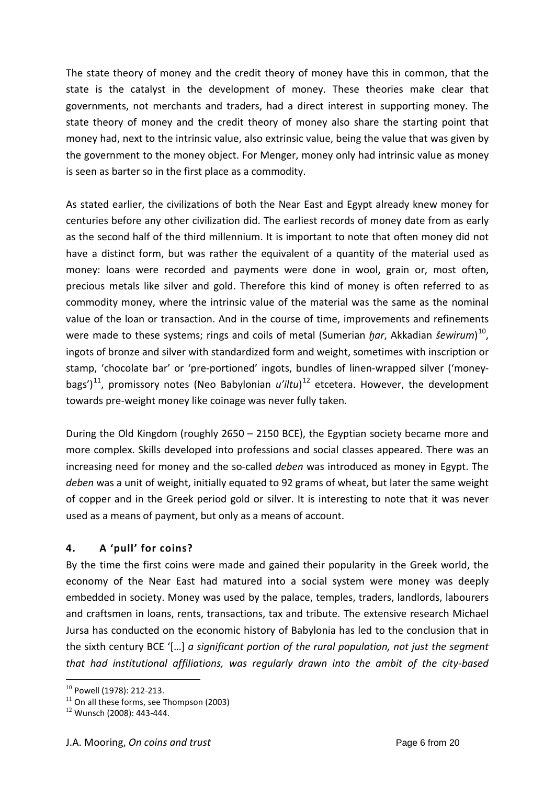The state theory of money and the credit theory of money have this in common, that the state is the catalyst in the development of money. These theories make clear that governments, not merchants and traders, had a direct interest in supporting money. The state theory of money and the credit theory of money also share the starting point that money had, next to the intrinsic value, also extrinsic value, being the value that was given by the government to the money object. For Menger, money only had intrinsic value as money is seen as barter so in the first place as a commodity.

As stated earlier, the civilizations of both the Near East and Egypt already knew money for centuries before any other civilization did. The earliest records of money date from as early as the second half of the third millennium. It is important to note that often money did not have a distinct form, but was rather the equivalent of a quantity of the material used as money: loans were recorded and payments were done in wool, grain or, most often, precious metals like silver and gold. Therefore this kind of money is often referred to as commodity money, where the intrinsic value of the material was the same as the nominal value of the loan or transaction. And in the course of time, improvements and refinements were made to these systems; rings and coils of metal (Sumerian *ḫar*, Akkadian *šewirum*) [10](#page-5-0), ingots of bronze and silver with standardized form and weight, sometimes with inscription or stamp, 'chocolate bar' or 'pre-portioned' ingots, bundles of linen-wrapped silver ('money-bags')<sup>[11](#page-5-1)</sup>, promissory notes (Neo Babylonian u'iltu)<sup>[12](#page-5-2)</sup> etcetera. However, the development towards pre-weight money like coinage was never fully taken.

During the Old Kingdom (roughly 2650 – 2150 BCE), the Egyptian society became more and more complex. Skills developed into professions and social classes appeared. There was an increasing need for money and the so-called *deben* was introduced as money in Egypt. The *deben* was a unit of weight, initially equated to 92 grams of wheat, but later the same weight of copper and in the Greek period gold or silver. It is interesting to note that it was never used as a means of payment, but only as a means of account.

# **4. A 'pull' for coins?**

By the time the first coins were made and gained their popularity in the Greek world, the economy of the Near East had matured into a social system were money was deeply embedded in society. Money was used by the palace, temples, traders, landlords, labourers and craftsmen in loans, rents, transactions, tax and tribute. The extensive research Michael Jursa has conducted on the economic history of Babylonia has led to the conclusion that in the sixth century BCE '[…] *a significant portion of the rural population, not just the segment that had institutional affiliations, was regularly drawn into the ambit of the city-based* 

<sup>&</sup>lt;sup>10</sup> Powell (1978): 212-213.  $\overline{a}$ 

<span id="page-5-1"></span><span id="page-5-0"></span> $11$  On all these forms, see Thompson (2003)

<span id="page-5-2"></span> $12$  Wunsch (2008): 443-444.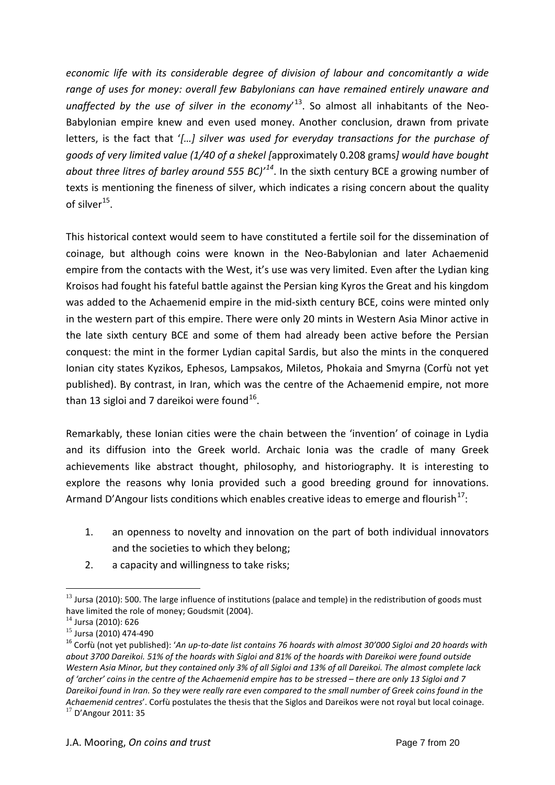*economic life with its considerable degree of division of labour and concomitantly a wide range of uses for money: overall few Babylonians can have remained entirely unaware and unaffected by the use of silver in the economy*' [13](#page-6-0). So almost all inhabitants of the Neo-Babylonian empire knew and even used money. Another conclusion, drawn from private letters, is the fact that '*[…] silver was used for everyday transactions for the purchase of goods of very limited value (1/40 of a shekel [*approximately 0.208 grams*] would have bought about three litres of barley around 555 BC)' [14](#page-6-1)*. In the sixth century BCE a growing number of texts is mentioning the fineness of silver, which indicates a rising concern about the quality of silver $^{15}$ .

This historical context would seem to have constituted a fertile soil for the dissemination of coinage, but although coins were known in the Neo-Babylonian and later Achaemenid empire from the contacts with the West, it's use was very limited. Even after the Lydian king Kroisos had fought his fateful battle against the Persian king Kyros the Great and his kingdom was added to the Achaemenid empire in the mid-sixth century BCE, coins were minted only in the western part of this empire. There were only 20 mints in Western Asia Minor active in the late sixth century BCE and some of them had already been active before the Persian conquest: the mint in the former Lydian capital Sardis, but also the mints in the conquered Ionian city states Kyzikos, Ephesos, Lampsakos, Miletos, Phokaia and Smyrna (Corfù not yet published). By contrast, in Iran, which was the centre of the Achaemenid empire, not more than 13 sigloi and 7 dareikoi were found<sup>[16](#page-6-3)</sup>.

Remarkably, these Ionian cities were the chain between the 'invention' of coinage in Lydia and its diffusion into the Greek world. Archaic Ionia was the cradle of many Greek achievements like abstract thought, philosophy, and historiography. It is interesting to explore the reasons why Ionia provided such a good breeding ground for innovations. Armand D'Angour lists conditions which enables creative ideas to emerge and flourish<sup>[17](#page-6-4)</sup>:

- 1. an openness to novelty and innovation on the part of both individual innovators and the societies to which they belong;
- 2. a capacity and willingness to take risks;

<span id="page-6-0"></span> $13$  Jursa (2010): 500. The large influence of institutions (palace and temple) in the redistribution of goods must have limited the role of money; Goudsmit (2004).

<span id="page-6-1"></span> $^{14}$  Jursa (2010): 626<br> $^{15}$  Jursa (2010) 474-490

<span id="page-6-4"></span><span id="page-6-3"></span><span id="page-6-2"></span><sup>&</sup>lt;sup>16</sup> Corfù (not yet published): 'An up-to-date list contains 76 hoards with almost 30'000 Sigloi and 20 hoards with *about 3700 Dareikoi. 51% of the hoards with Sigloi and 81% of the hoards with Dareikoi were found outside Western Asia Minor, but they contained only 3% of all Sigloi and 13% of all Dareikoi. The almost complete lack of 'archer' coins in the centre of the Achaemenid empire has to be stressed – there are only 13 Sigloi and 7 Dareikoi found in Iran. So they were really rare even compared to the small number of Greek coins found in the Achaemenid centres*'. Corfù postulates the thesis that the Siglos and Dareikos were not royal but local coinage. <sup>17</sup> D'Angour 2011: 35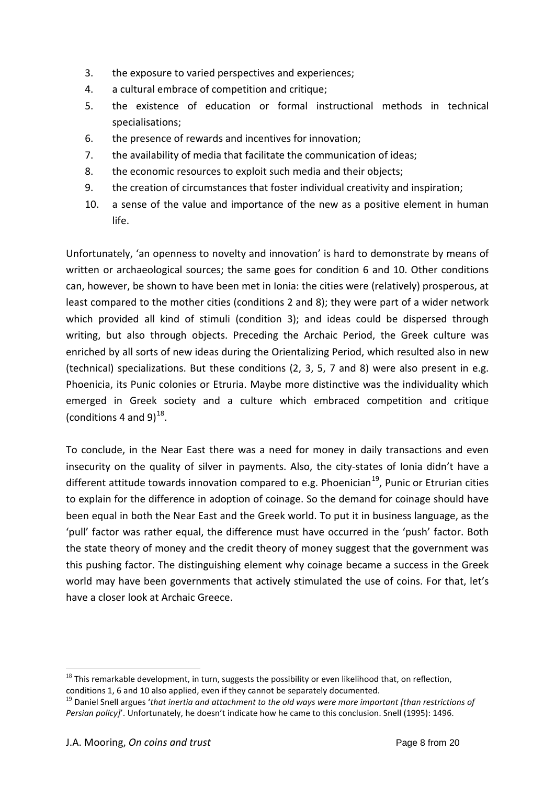- 3. the exposure to varied perspectives and experiences;
- 4. a cultural embrace of competition and critique;
- 5. the existence of education or formal instructional methods in technical specialisations;
- 6. the presence of rewards and incentives for innovation;
- 7. the availability of media that facilitate the communication of ideas;
- 8. the economic resources to exploit such media and their objects;
- 9. the creation of circumstances that foster individual creativity and inspiration;
- 10. a sense of the value and importance of the new as a positive element in human life.

Unfortunately, 'an openness to novelty and innovation' is hard to demonstrate by means of written or archaeological sources; the same goes for condition 6 and 10. Other conditions can, however, be shown to have been met in Ionia: the cities were (relatively) prosperous, at least compared to the mother cities (conditions 2 and 8); they were part of a wider network which provided all kind of stimuli (condition 3); and ideas could be dispersed through writing, but also through objects. Preceding the Archaic Period, the Greek culture was enriched by all sorts of new ideas during the Orientalizing Period, which resulted also in new (technical) specializations. But these conditions (2, 3, 5, 7 and 8) were also present in e.g. Phoenicia, its Punic colonies or Etruria. Maybe more distinctive was the individuality which emerged in Greek society and a culture which embraced competition and critique (conditions 4 and 9) $^{18}$  $^{18}$  $^{18}$ .

To conclude, in the Near East there was a need for money in daily transactions and even insecurity on the quality of silver in payments. Also, the city-states of Ionia didn't have a different attitude towards innovation compared to e.g. Phoenician<sup>[19](#page-7-1)</sup>, Punic or Etrurian cities to explain for the difference in adoption of coinage. So the demand for coinage should have been equal in both the Near East and the Greek world. To put it in business language, as the 'pull' factor was rather equal, the difference must have occurred in the 'push' factor. Both the state theory of money and the credit theory of money suggest that the government was this pushing factor. The distinguishing element why coinage became a success in the Greek world may have been governments that actively stimulated the use of coins. For that, let's have a closer look at Archaic Greece.

<span id="page-7-0"></span> $18$  This remarkable development, in turn, suggests the possibility or even likelihood that, on reflection, conditions 1, 6 and 10 also applied, even if they cannot be separately documented.  $\overline{a}$ 

<span id="page-7-1"></span><sup>19</sup> Daniel Snell argues '*that inertia and attachment to the old ways were more important [than restrictions of Persian policy]*'. Unfortunately, he doesn't indicate how he came to this conclusion. Snell (1995): 1496.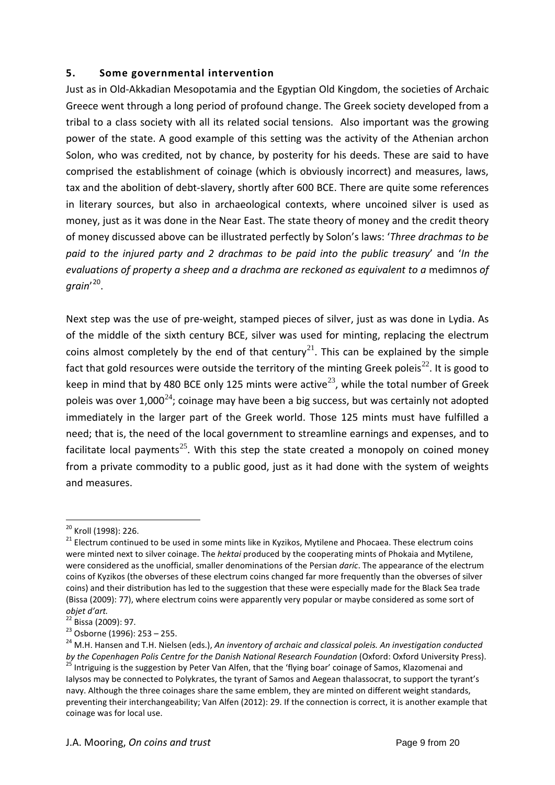### **5. Some governmental intervention**

Just as in Old-Akkadian Mesopotamia and the Egyptian Old Kingdom, the societies of Archaic Greece went through a long period of profound change. The Greek society developed from a tribal to a class society with all its related social tensions. Also important was the growing power of the state. A good example of this setting was the activity of the Athenian archon Solon, who was credited, not by chance, by posterity for his deeds. These are said to have comprised the establishment of coinage (which is obviously incorrect) and measures, laws, tax and the abolition of debt-slavery, shortly after 600 BCE. There are quite some references in literary sources, but also in archaeological contexts, where uncoined silver is used as money, just as it was done in the Near East. The state theory of money and the credit theory of money discussed above can be illustrated perfectly by Solon's laws: '*Three drachmas to be paid to the injured party and 2 drachmas to be paid into the public treasury*' and '*In the evaluations of property a sheep and a drachma are reckoned as equivalent to a* medimnos *of grain*' [20.](#page-8-0)

Next step was the use of pre-weight, stamped pieces of silver, just as was done in Lydia. As of the middle of the sixth century BCE, silver was used for minting, replacing the electrum coins almost completely by the end of that century<sup>[21](#page-8-1)</sup>. This can be explained by the simple fact that gold resources were outside the territory of the minting Greek poleis<sup>[22](#page-8-2)</sup>. It is good to keep in mind that by 480 BCE only 125 mints were active<sup>[23](#page-8-3)</sup>, while the total number of Greek poleis was over 1,000<sup>[24](#page-8-4)</sup>; coinage may have been a big success, but was certainly not adopted immediately in the larger part of the Greek world. Those 125 mints must have fulfilled a need; that is, the need of the local government to streamline earnings and expenses, and to facilitate local payments<sup>[25](#page-8-5)</sup>. With this step the state created a monopoly on coined money from a private commodity to a public good, just as it had done with the system of weights and measures.

<span id="page-8-1"></span><span id="page-8-0"></span><sup>&</sup>lt;sup>20</sup> Kroll (1998): 226.<br><sup>21</sup> Electrum continued to be used in some mints like in Kyzikos, Mytilene and Phocaea. These electrum coins were minted next to silver coinage. The *hektai* produced by the cooperating mints of Phokaia and Mytilene, were considered as the unofficial, smaller denominations of the Persian *daric*. The appearance of the electrum coins of Kyzikos (the obverses of these electrum coins changed far more frequently than the obverses of silver coins) and their distribution has led to the suggestion that these were especially made for the Black Sea trade (Bissa (2009): 77), where electrum coins were apparently very popular or maybe considered as some sort of

*objet d'art.*<br><sup>22</sup> Bissa (2009): 97.

<span id="page-8-5"></span>

<span id="page-8-4"></span><span id="page-8-3"></span><span id="page-8-2"></span><sup>&</sup>lt;sup>23</sup> Osborne (1996): 253 – 255.<br><sup>24</sup> M.H. Hansen and T.H. Nielsen (eds.), *An inventory of archaic and classical poleis. An investigation conducted by the Copenhagen Polis Centre for the Danish National Research Foundation* (Oxford: Oxford University Press).<br><sup>25</sup> Intriguing is the suggestion by Peter Van Alfen, that the 'flying boar' coinage of Samos, Klazomenai and Ialysos may be connected to Polykrates, the tyrant of Samos and Aegean thalassocrat, to support the tyrant's navy. Although the three coinages share the same emblem, they are minted on different weight standards, preventing their interchangeability; Van Alfen (2012): 29. If the connection is correct, it is another example that coinage was for local use.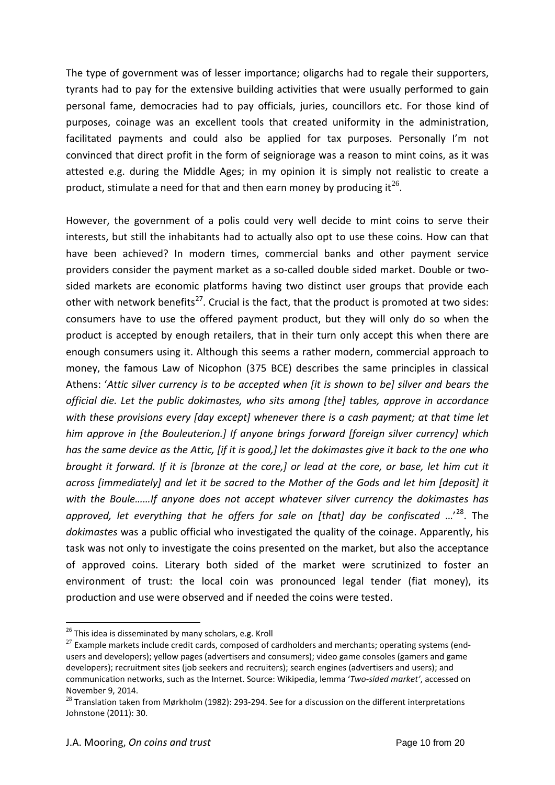The type of government was of lesser importance; oligarchs had to regale their supporters, tyrants had to pay for the extensive building activities that were usually performed to gain personal fame, democracies had to pay officials, juries, councillors etc. For those kind of purposes, coinage was an excellent tools that created uniformity in the administration, facilitated payments and could also be applied for tax purposes. Personally I'm not convinced that direct profit in the form of seigniorage was a reason to mint coins, as it was attested e.g. during the Middle Ages; in my opinion it is simply not realistic to create a product, stimulate a need for that and then earn money by producing it  $2^6$ .

However, the government of a polis could very well decide to mint coins to serve their interests, but still the inhabitants had to actually also opt to use these coins. How can that have been achieved? In modern times, commercial banks and other payment service providers consider the payment market as a so-called double sided market. Double or twosided markets are economic platforms having two distinct user groups that provide each other with network benefits<sup>27</sup>. Crucial is the fact, that the product is promoted at two sides: consumers have to use the offered payment product, but they will only do so when the product is accepted by enough retailers, that in their turn only accept this when there are enough consumers using it. Although this seems a rather modern, commercial approach to money, the famous Law of Nicophon (375 BCE) describes the same principles in classical Athens: '*Attic silver currency is to be accepted when [it is shown to be] silver and bears the official die. Let the public dokimastes, who sits among [the] tables, approve in accordance with these provisions every [day except] whenever there is a cash payment; at that time let him approve in [the Bouleuterion.] If anyone brings forward [foreign silver currency] which has the same device as the Attic, [if it is good,] let the dokimastes give it back to the one who brought it forward. If it is [bronze at the core,] or lead at the core, or base, let him cut it across [immediately] and let it be sacred to the Mother of the Gods and let him [deposit] it with the Boule……If anyone does not accept whatever silver currency the dokimastes has approved, let everything that he offers for sale on [that] day be confiscated* …' [28.](#page-9-2) The *dokimastes* was a public official who investigated the quality of the coinage. Apparently, his task was not only to investigate the coins presented on the market, but also the acceptance of approved coins. Literary both sided of the market were scrutinized to foster an environment of trust: the local coin was pronounced legal tender (fiat money), its production and use were observed and if needed the coins were tested.

<sup>&</sup>lt;sup>26</sup> This idea is disseminated by many scholars, e.g. Kroll

<span id="page-9-1"></span><span id="page-9-0"></span> $27$  Example markets include credit cards, composed of cardholders and merchants; operating systems (endusers and developers); yellow pages (advertisers and consumers); video game consoles (gamers and game developers); recruitment sites (job seekers and recruiters); search engines (advertisers and users); and communication networks, such as the Internet. Source: Wikipedia, lemma '*Two-sided market'*, accessed on November 9, 2014.

<span id="page-9-2"></span> $^{28}$  Translation taken from Mørkholm (1982): 293-294. See for a discussion on the different interpretations Johnstone (2011): 30.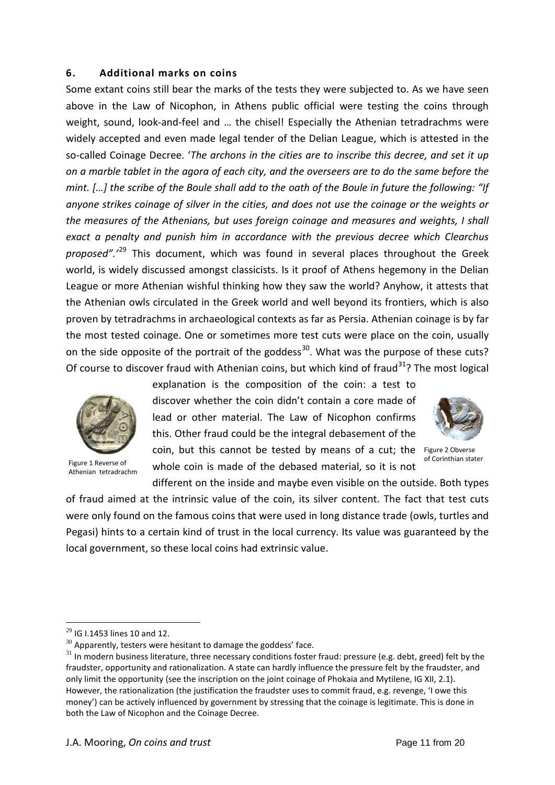### **6. Additional marks on coins**

Some extant coins still bear the marks of the tests they were subjected to. As we have seen above in the Law of Nicophon, in Athens public official were testing the coins through weight, sound, look-and-feel and … the chisel! Especially the Athenian tetradrachms were widely accepted and even made legal tender of the Delian League, which is attested in the so-called Coinage Decree. '*The archons in the cities are to inscribe this decree, and set it up on a marble tablet in the agora of each city, and the overseers are to do the same before the mint. […] the scribe of the Boule shall add to the oath of the Boule in future the following: "If anyone strikes coinage of silver in the cities, and does not use the coinage or the weights or the measures of the Athenians, but uses foreign coinage and measures and weights, I shall exact a penalty and punish him in accordance with the previous decree which Clearchus proposed".'*[29](#page-10-0) This document, which was found in several places throughout the Greek world, is widely discussed amongst classicists. Is it proof of Athens hegemony in the Delian League or more Athenian wishful thinking how they saw the world? Anyhow, it attests that the Athenian owls circulated in the Greek world and well beyond its frontiers, which is also proven by tetradrachms in archaeological contexts as far as Persia. Athenian coinage is by far the most tested coinage. One or sometimes more test cuts were place on the coin, usually on the side opposite of the portrait of the goddess<sup>[30](#page-10-1)</sup>. What was the purpose of these cuts? Of course to discover fraud with Athenian coins, but which kind of fraud<sup>31</sup>? The most logical



Athenian tetradrachm

explanation is the composition of the coin: a test to discover whether the coin didn't contain a core made of lead or other material. The Law of Nicophon confirms this. Other fraud could be the integral debasement of the coin, but this cannot be tested by means of a cut; the Figure 2 Obverse Figure 1 Reverse of **whole coin is made of the debased material**, so it is not of Corinthian stater

different on the inside and maybe even visible on the outside. Both types of fraud aimed at the intrinsic value of the coin, its silver content. The fact that test cuts were only found on the famous coins that were used in long distance trade (owls, turtles and Pegasi) hints to a certain kind of trust in the local currency. Its value was guaranteed by the local government, so these local coins had extrinsic value.

<span id="page-10-0"></span> $29$  IG I.1453 lines 10 and 12.

<span id="page-10-1"></span> $30$  Apparently, testers were hesitant to damage the goddess' face.

<span id="page-10-2"></span> $31$  In modern business literature, three necessary conditions foster fraud: pressure (e.g. debt, greed) felt by the fraudster, opportunity and rationalization. A state can hardly influence the pressure felt by the fraudster, and only limit the opportunity (see the inscription on the joint coinage of Phokaia and Mytilene, IG XII, 2.1). However, the rationalization (the justification the fraudster uses to commit fraud, e.g. revenge, 'I owe this money') can be actively influenced by government by stressing that the coinage is legitimate. This is done in both the Law of Nicophon and the Coinage Decree.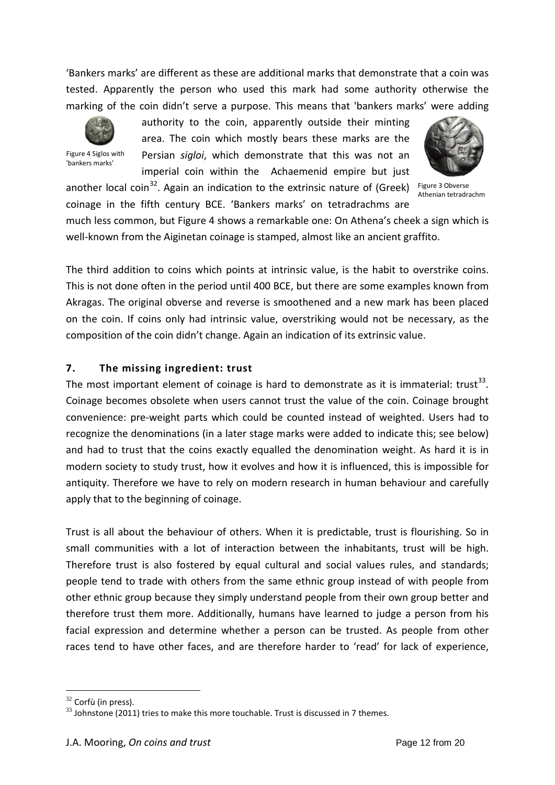'Bankers marks' are different as these are additional marks that demonstrate that a coin was tested. Apparently the person who used this mark had some authority otherwise the marking of the coin didn't serve a purpose. This means that 'bankers marks' were adding



Figure 4 Siglos with 'bankers marks'

authority to the coin, apparently outside their minting area. The coin which mostly bears these marks are the Persian *sigloi*, which demonstrate that this was not an imperial coin within the Achaemenid empire but just

<span id="page-11-0"></span>

Figure 3 Obverse Athenian tetradrachm

another local coin<sup>32</sup>. Again an indication to the extrinsic nature of (Greek) coinage in the fifth century BCE. 'Bankers marks' on tetradrachms are

much less common, but [Figure 4](#page-11-0) shows a remarkable one: On Athena's cheek a sign which is well-known from the Aiginetan coinage is stamped, almost like an ancient graffito.

The third addition to coins which points at intrinsic value, is the habit to overstrike coins. This is not done often in the period until 400 BCE, but there are some examples known from Akragas. The original obverse and reverse is smoothened and a new mark has been placed on the coin. If coins only had intrinsic value, overstriking would not be necessary, as the composition of the coin didn't change. Again an indication of its extrinsic value.

# **7. The missing ingredient: trust**

The most important element of coinage is hard to demonstrate as it is immaterial: trust<sup>[33](#page-11-2)</sup>. Coinage becomes obsolete when users cannot trust the value of the coin. Coinage brought convenience: pre-weight parts which could be counted instead of weighted. Users had to recognize the denominations (in a later stage marks were added to indicate this; see below) and had to trust that the coins exactly equalled the denomination weight. As hard it is in modern society to study trust, how it evolves and how it is influenced, this is impossible for antiquity. Therefore we have to rely on modern research in human behaviour and carefully apply that to the beginning of coinage.

Trust is all about the behaviour of others. When it is predictable, trust is flourishing. So in small communities with a lot of interaction between the inhabitants, trust will be high. Therefore trust is also fostered by equal cultural and social values rules, and standards; people tend to trade with others from the same ethnic group instead of with people from other ethnic group because they simply understand people from their own group better and therefore trust them more. Additionally, humans have learned to judge a person from his facial expression and determine whether a person can be trusted. As people from other races tend to have other faces, and are therefore harder to 'read' for lack of experience,

<span id="page-11-1"></span> $32$  Corfù (in press).

<span id="page-11-2"></span> $33$  Johnstone (2011) tries to make this more touchable. Trust is discussed in 7 themes.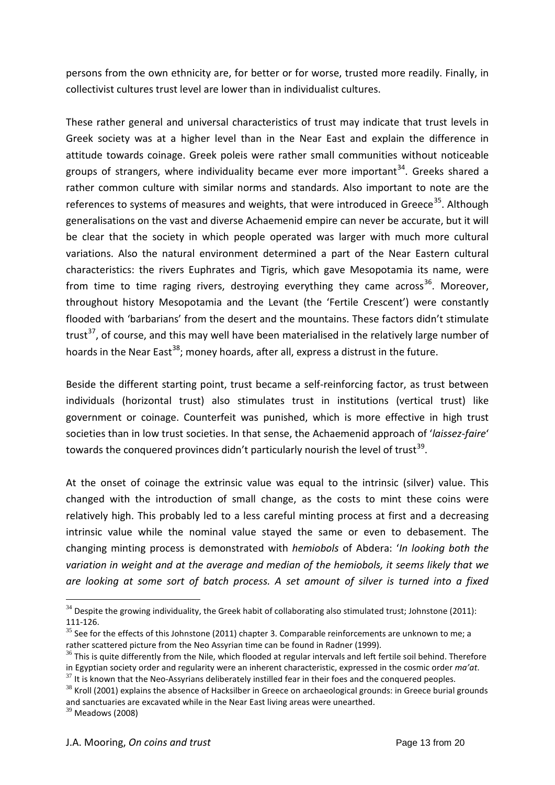persons from the own ethnicity are, for better or for worse, trusted more readily. Finally, in collectivist cultures trust level are lower than in individualist cultures.

These rather general and universal characteristics of trust may indicate that trust levels in Greek society was at a higher level than in the Near East and explain the difference in attitude towards coinage. Greek poleis were rather small communities without noticeable groups of strangers, where individuality became ever more important<sup>34</sup>. Greeks shared a rather common culture with similar norms and standards. Also important to note are the references to systems of measures and weights, that were introduced in Greece<sup>35</sup>. Although generalisations on the vast and diverse Achaemenid empire can never be accurate, but it will be clear that the society in which people operated was larger with much more cultural variations. Also the natural environment determined a part of the Near Eastern cultural characteristics: the rivers Euphrates and Tigris, which gave Mesopotamia its name, were from time to time raging rivers, destroying everything they came across<sup>[36](#page-12-2)</sup>. Moreover, throughout history Mesopotamia and the Levant (the 'Fertile Crescent') were constantly flooded with 'barbarians' from the desert and the mountains. These factors didn't stimulate trust<sup>37</sup>, of course, and this may well have been materialised in the relatively large number of hoards in the Near East<sup>[38](#page-12-4)</sup>; money hoards, after all, express a distrust in the future.

Beside the different starting point, trust became a self-reinforcing factor, as trust between individuals (horizontal trust) also stimulates trust in institutions (vertical trust) like government or coinage. Counterfeit was punished, which is more effective in high trust societies than in low trust societies. In that sense, the Achaemenid approach of '*laissez-faire*' towards the conquered provinces didn't particularly nourish the level of trust<sup>39</sup>.

At the onset of coinage the extrinsic value was equal to the intrinsic (silver) value. This changed with the introduction of small change, as the costs to mint these coins were relatively high. This probably led to a less careful minting process at first and a decreasing intrinsic value while the nominal value stayed the same or even to debasement. The changing minting process is demonstrated with *hemiobols* of Abdera: '*In looking both the variation in weight and at the average and median of the hemiobols, it seems likely that we are looking at some sort of batch process. A set amount of silver is turned into a fixed* 

<span id="page-12-0"></span> $34$  Despite the growing individuality, the Greek habit of collaborating also stimulated trust; Johnstone (2011): 111-126.

<span id="page-12-1"></span> $35$  See for the effects of this Johnstone (2011) chapter 3. Comparable reinforcements are unknown to me; a rather scattered picture from the Neo Assyrian time can be found in Radner (1999).

<span id="page-12-2"></span> $36$  This is quite differently from the Nile, which flooded at regular intervals and left fertile soil behind. Therefore in Egyptian society order and regularity were an inherent characteristic, expressed in the cosmic order *ma'at*.

<span id="page-12-3"></span> $37$  It is known that the Neo-Assyrians deliberately instilled fear in their foes and the conquered peoples.

<span id="page-12-4"></span> $38$  Kroll (2001) explains the absence of Hacksilber in Greece on archaeological grounds: in Greece burial grounds and sanctuaries are excavated while in the Near East living areas were unearthed.

<span id="page-12-5"></span> $39$  Meadows (2008)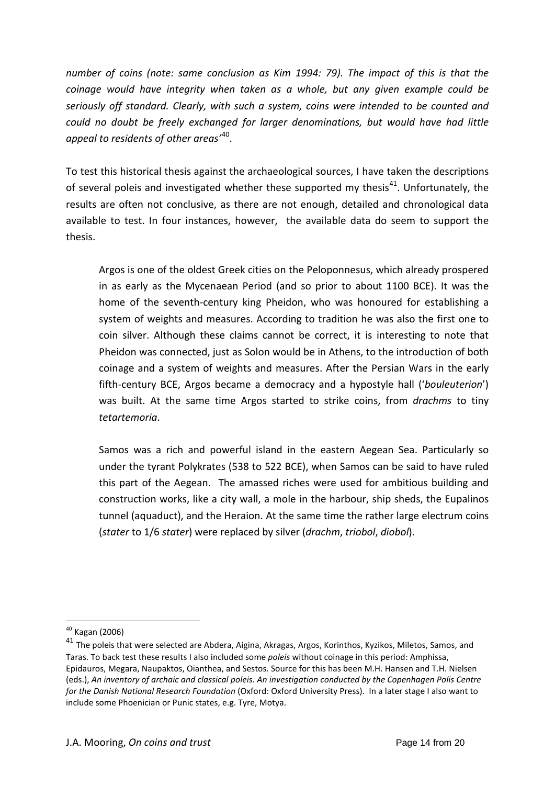*number of coins (note: same conclusion as Kim 1994: 79). The impact of this is that the coinage would have integrity when taken as a whole, but any given example could be seriously off standard. Clearly, with such a system, coins were intended to be counted and could no doubt be freely exchanged for larger denominations, but would have had little appeal to residents of other areas'*[40](#page-13-0).

To test this historical thesis against the archaeological sources, I have taken the descriptions of several poleis and investigated whether these supported my thesis<sup>[41](#page-13-1)</sup>. Unfortunately, the results are often not conclusive, as there are not enough, detailed and chronological data available to test. In four instances, however, the available data do seem to support the thesis.

Argos is one of the oldest Greek cities on the Peloponnesus, which already prospered in as early as the Mycenaean Period (and so prior to about 1100 BCE). It was the home of the seventh-century king Pheidon, who was honoured for establishing a system of weights and measures. According to tradition he was also the first one to coin silver. Although these claims cannot be correct, it is interesting to note that Pheidon was connected, just as Solon would be in Athens, to the introduction of both coinage and a system of weights and measures. After the Persian Wars in the early fifth-century BCE, Argos became a democracy and a hypostyle hall ('*bouleuterion*') was built. At the same time Argos started to strike coins, from *drachms* to tiny *tetartemoria*.

Samos was a rich and powerful island in the eastern Aegean Sea. Particularly so under the tyrant Polykrates (538 to 522 BCE), when Samos can be said to have ruled this part of the Aegean. The amassed riches were used for ambitious building and construction works, like a city wall, a mole in the harbour, ship sheds, the Eupalinos tunnel (aquaduct), and the Heraion. At the same time the rather large electrum coins (*stater* to 1/6 *stater*) were replaced by silver (*drachm*, *triobol*, *diobol*).

 $40$  Kagan (2006)

<span id="page-13-1"></span><span id="page-13-0"></span><sup>&</sup>lt;sup>41</sup> The poleis that were selected are Abdera, Aigina, Akragas, Argos, Korinthos, Kyzikos, Miletos, Samos, and Taras. To back test these results I also included some *poleis* without coinage in this period: Amphissa, Epidauros, Megara, Naupaktos, Oianthea, and Sestos. Source for this has been M.H. Hansen and T.H. Nielsen (eds.), *An inventory of archaic and classical poleis. An investigation conducted by the Copenhagen Polis Centre for the Danish National Research Foundation* (Oxford: Oxford University Press). In a later stage I also want to include some Phoenician or Punic states, e.g. Tyre, Motya.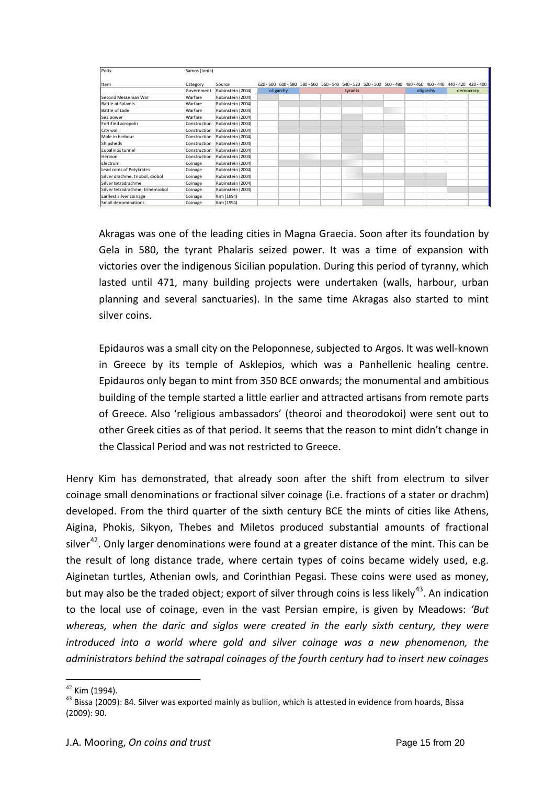| Polis:                           | Samos (Ionia) |                   |           |  |         |  |  |  |                                                                                                               |           |           |  |
|----------------------------------|---------------|-------------------|-----------|--|---------|--|--|--|---------------------------------------------------------------------------------------------------------------|-----------|-----------|--|
| Item                             | Category      | Source            |           |  |         |  |  |  | 620 - 600 600 - 580 580 - 560 560 - 540 540 - 520 520 - 500 500 - 480 480 - 460 460 - 440 440 - 420 420 - 400 |           |           |  |
|                                  | Government    | Rubinstein (2004) | oligarchy |  | tyrants |  |  |  |                                                                                                               | oligarchy | democracy |  |
| Second Messenian War             | Warfare       | Rubinstein (2004) |           |  |         |  |  |  |                                                                                                               |           |           |  |
| Battle at Salamis                | Warfare       | Rubinstein (2004) |           |  |         |  |  |  |                                                                                                               |           |           |  |
| Battle of Lade                   | Warfare       | Rubinstein (2004) |           |  |         |  |  |  |                                                                                                               |           |           |  |
| Sea power                        | Warfare       | Rubinstein (2004) |           |  |         |  |  |  |                                                                                                               |           |           |  |
| Fortified acropolis              | Construction  | Rubinstein (2004) |           |  |         |  |  |  |                                                                                                               |           |           |  |
| City wall                        | Construction  | Rubinstein (2004) |           |  |         |  |  |  |                                                                                                               |           |           |  |
| Mole in harbour                  | Construction  | Rubinstein (2004) |           |  |         |  |  |  |                                                                                                               |           |           |  |
| Shipsheds                        | Construction  | Rubinstein (2004) |           |  |         |  |  |  |                                                                                                               |           |           |  |
| Eupalinos tunnel                 | Construction  | Rubinstein (2004) |           |  |         |  |  |  |                                                                                                               |           |           |  |
| Heraion                          | Construction  | Rubinstein (2004) |           |  |         |  |  |  |                                                                                                               |           |           |  |
| Electrum                         | Coinage       | Rubinstein (2004) |           |  |         |  |  |  |                                                                                                               |           |           |  |
| Lead coins of Polykrates         | Coinage       | Rubinstein (2004) |           |  |         |  |  |  |                                                                                                               |           |           |  |
| Silver drachme, triobol, diobol  | Coinage       | Rubinstein (2004) |           |  |         |  |  |  |                                                                                                               |           |           |  |
| Silver tetradrachme              | Coinage       | Rubinstein (2004) |           |  |         |  |  |  |                                                                                                               |           |           |  |
| Silver tetradrachme, trihemiobol | Coinage       | Rubinstein (2004) |           |  |         |  |  |  |                                                                                                               |           |           |  |
| Earliest silver coinage          | Coinage       | Kim (1994)        |           |  |         |  |  |  |                                                                                                               |           |           |  |
| Small denominations              | Coinage       | Kim (1994)        |           |  |         |  |  |  |                                                                                                               |           |           |  |

Akragas was one of the leading cities in Magna Graecia. Soon after its foundation by Gela in 580, the tyrant Phalaris seized power. It was a time of expansion with victories over the indigenous Sicilian population. During this period of tyranny, which lasted until 471, many building projects were undertaken (walls, harbour, urban planning and several sanctuaries). In the same time Akragas also started to mint silver coins.

Epidauros was a small city on the Peloponnese, subjected to Argos. It was well-known in Greece by its temple of Asklepios, which was a Panhellenic healing centre. Epidauros only began to mint from 350 BCE onwards; the monumental and ambitious building of the temple started a little earlier and attracted artisans from remote parts of Greece. Also 'religious ambassadors' (theoroi and theorodokoi) were sent out to other Greek cities as of that period. It seems that the reason to mint didn't change in the Classical Period and was not restricted to Greece.

Henry Kim has demonstrated, that already soon after the shift from electrum to silver coinage small denominations or fractional silver coinage (i.e. fractions of a stater or drachm) developed. From the third quarter of the sixth century BCE the mints of cities like Athens, Aigina, Phokis, Sikyon, Thebes and Miletos produced substantial amounts of fractional silver<sup>[42](#page-14-0)</sup>. Only larger denominations were found at a greater distance of the mint. This can be the result of long distance trade, where certain types of coins became widely used, e.g. Aiginetan turtles, Athenian owls, and Corinthian Pegasi. These coins were used as money, but may also be the traded object; export of silver through coins is less likely<sup>[43](#page-14-1)</sup>. An indication to the local use of coinage, even in the vast Persian empire, is given by Meadows: *'But whereas, when the daric and siglos were created in the early sixth century, they were*  introduced into a world where gold and silver coinage was a new phenomenon, the *administrators behind the satrapal coinages of the fourth century had to insert new coinages* 

<span id="page-14-1"></span><span id="page-14-0"></span><sup>&</sup>lt;sup>42</sup> Kim (1994).<br><sup>43</sup> Bissa (2009): 84. Silver was exported mainly as bullion, which is attested in evidence from hoards, Bissa (2009): 90.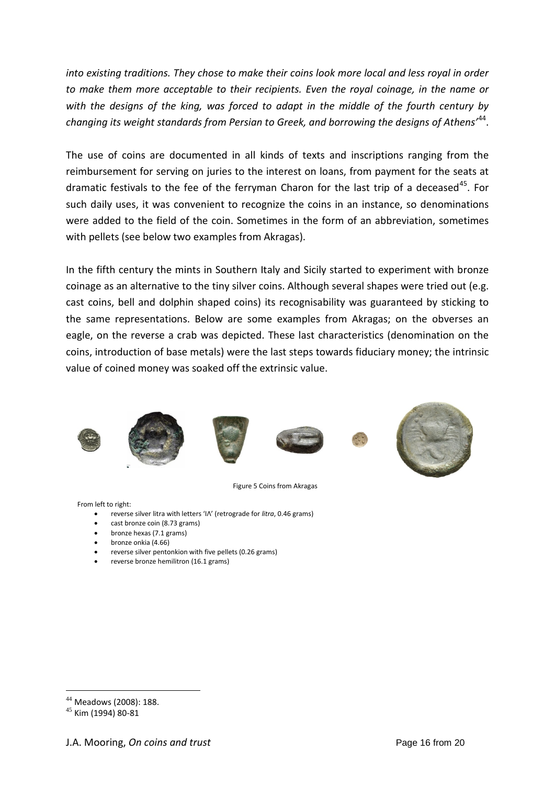*into existing traditions. They chose to make their coins look more local and less royal in order to make them more acceptable to their recipients. Even the royal coinage, in the name or with the designs of the king, was forced to adapt in the middle of the fourth century by changing its weight standards from Persian to Greek, and borrowing the designs of Athens'*[44.](#page-15-0)

The use of coins are documented in all kinds of texts and inscriptions ranging from the reimbursement for serving on juries to the interest on loans, from payment for the seats at dramatic festivals to the fee of the ferryman Charon for the last trip of a deceased<sup>[45](#page-15-1)</sup>. For such daily uses, it was convenient to recognize the coins in an instance, so denominations were added to the field of the coin. Sometimes in the form of an abbreviation, sometimes with pellets (see below two examples from Akragas).

In the fifth century the mints in Southern Italy and Sicily started to experiment with bronze coinage as an alternative to the tiny silver coins. Although several shapes were tried out (e.g. cast coins, bell and dolphin shaped coins) its recognisability was guaranteed by sticking to the same representations. Below are some examples from Akragas; on the obverses an eagle, on the reverse a crab was depicted. These last characteristics (denomination on the coins, introduction of base metals) were the last steps towards fiduciary money; the intrinsic value of coined money was soaked off the extrinsic value.







Figure 5 Coins from Akragas

From left to right:

- reverse silver litra with letters 'ΙΛ' (retrograde for *litra*, 0.46 grams)
- cast bronze coin (8.73 grams)
- bronze hexas (7.1 grams)
- bronze onkia (4.66)
- reverse silver pentonkion with five pellets (0.26 grams)
- reverse bronze hemilitron (16.1 grams)

 $44$  Meadows (2008): 188.

<span id="page-15-1"></span><span id="page-15-0"></span><sup>45</sup> Kim (1994) 80-81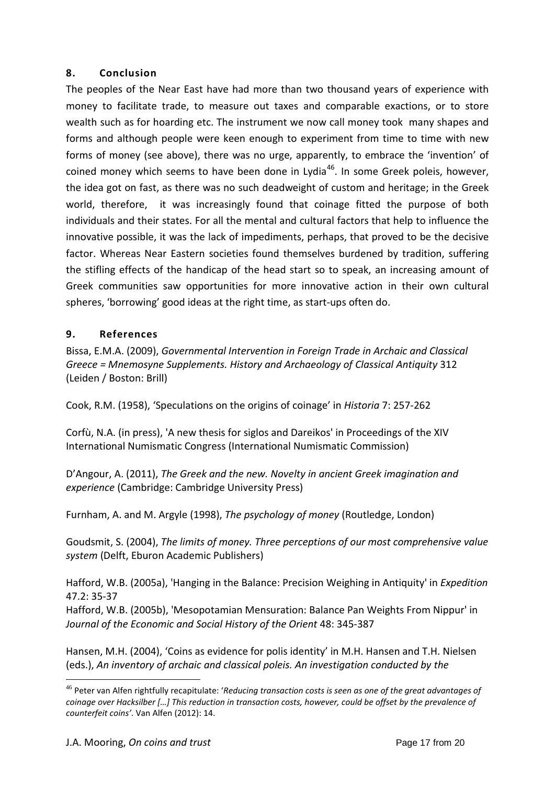### **8. Conclusion**

The peoples of the Near East have had more than two thousand years of experience with money to facilitate trade, to measure out taxes and comparable exactions, or to store wealth such as for hoarding etc. The instrument we now call money took many shapes and forms and although people were keen enough to experiment from time to time with new forms of money (see above), there was no urge, apparently, to embrace the 'invention' of coined money which seems to have been done in Lydia<sup>[46](#page-16-0)</sup>. In some Greek poleis, however, the idea got on fast, as there was no such deadweight of custom and heritage; in the Greek world, therefore, it was increasingly found that coinage fitted the purpose of both individuals and their states. For all the mental and cultural factors that help to influence the innovative possible, it was the lack of impediments, perhaps, that proved to be the decisive factor. Whereas Near Eastern societies found themselves burdened by tradition, suffering the stifling effects of the handicap of the head start so to speak, an increasing amount of Greek communities saw opportunities for more innovative action in their own cultural spheres, 'borrowing' good ideas at the right time, as start-ups often do.

## **9. References**

Bissa, E.M.A. (2009), *Governmental Intervention in Foreign Trade in Archaic and Classical Greece = Mnemosyne Supplements. History and Archaeology of Classical Antiquity* 312 (Leiden / Boston: Brill)

Cook, R.M. (1958), 'Speculations on the origins of coinage' in *Historia* 7: 257-262

Corfù, N.A. (in press), 'A new thesis for siglos and Dareikos' in Proceedings of the XIV International Numismatic Congress (International Numismatic Commission)

D'Angour, A. (2011), *The Greek and the new. Novelty in ancient Greek imagination and experience* (Cambridge: Cambridge University Press)

Furnham, A. and M. Argyle (1998), *The psychology of money* (Routledge, London)

Goudsmit, S. (2004), *The limits of money. Three perceptions of our most comprehensive value system* (Delft, Eburon Academic Publishers)

Hafford, W.B. (2005a), 'Hanging in the Balance: Precision Weighing in Antiquity' in *Expedition* 47.2: 35-37

Hafford, W.B. (2005b), 'Mesopotamian Mensuration: Balance Pan Weights From Nippur' in *Journal of the Economic and Social History of the Orient* 48: 345-387

Hansen, M.H. (2004), 'Coins as evidence for polis identity' in M.H. Hansen and T.H. Nielsen (eds.), *An inventory of archaic and classical poleis. An investigation conducted by the* 

<span id="page-16-0"></span><sup>46</sup> Peter van Alfen rightfully recapitulate: '*Reducing transaction costs is seen as one of the great advantages of coinage over Hacksilber […] This reduction in transaction costs, however, could be offset by the prevalence of counterfeit coins'*. Van Alfen (2012): 14.  $\overline{a}$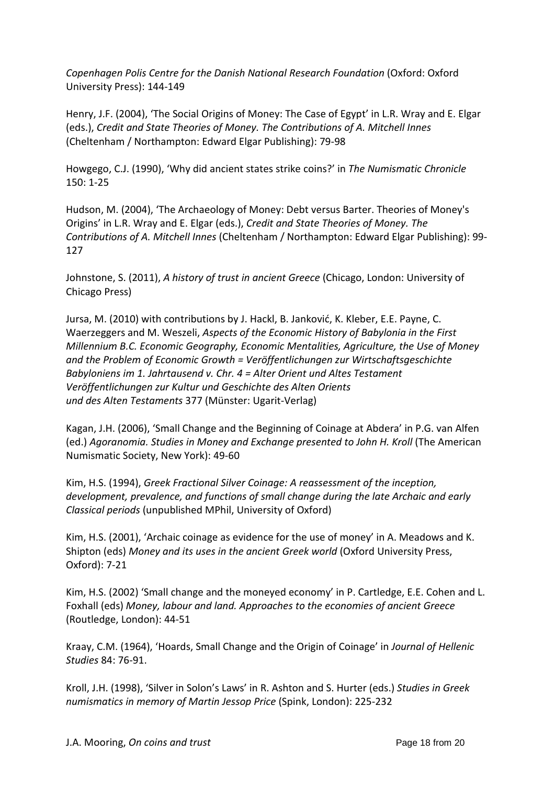*Copenhagen Polis Centre for the Danish National Research Foundation* (Oxford: Oxford University Press): 144-149

Henry, J.F. (2004), 'The Social Origins of Money: The Case of Egypt' in L.R. Wray and E. Elgar (eds.), *Credit and State Theories of Money. The Contributions of A. Mitchell Innes* (Cheltenham / Northampton: Edward Elgar Publishing): 79-98

Howgego, C.J. (1990), 'Why did ancient states strike coins?' in *The Numismatic Chronicle* 150: 1-25

Hudson, M. (2004), 'The Archaeology of Money: Debt versus Barter. Theories of Money's Origins' in L.R. Wray and E. Elgar (eds.), *Credit and State Theories of Money. The Contributions of A. Mitchell Innes* (Cheltenham / Northampton: Edward Elgar Publishing): 99- 127

Johnstone, S. (2011), *A history of trust in ancient Greece* (Chicago, London: University of Chicago Press)

Jursa, M. (2010) with contributions by J. Hackl, B. Janković, K. Kleber, E.E. Payne, C. Waerzeggers and M. Weszeli, *Aspects of the Economic History of Babylonia in the First Millennium B.C. Economic Geography, Economic Mentalities, Agriculture, the Use of Money and the Problem of Economic Growth = Veröffentlichungen zur Wirtschaftsgeschichte Babyloniens im 1. Jahrtausend v. Chr. 4 = Alter Orient und Altes Testament Veröffentlichungen zur Kultur und Geschichte des Alten Orients und des Alten Testaments* 377 (Münster: Ugarit-Verlag)

Kagan, J.H. (2006), 'Small Change and the Beginning of Coinage at Abdera' in P.G. van Alfen (ed.) *Agoranomia. Studies in Money and Exchange presented to John H. Kroll* (The American Numismatic Society, New York): 49-60

Kim, H.S. (1994), *Greek Fractional Silver Coinage: A reassessment of the inception, development, prevalence, and functions of small change during the late Archaic and early Classical periods* (unpublished MPhil, University of Oxford)

Kim, H.S. (2001), 'Archaic coinage as evidence for the use of money' in A. Meadows and K. Shipton (eds) *Money and its uses in the ancient Greek world* (Oxford University Press, Oxford): 7-21

Kim, H.S. (2002) 'Small change and the moneyed economy' in P. Cartledge, E.E. Cohen and L. Foxhall (eds) *Money, labour and land. Approaches to the economies of ancient Greece* (Routledge, London): 44-51

Kraay, C.M. (1964), 'Hoards, Small Change and the Origin of Coinage' in *Journal of Hellenic Studies* 84: 76-91.

Kroll, J.H. (1998), 'Silver in Solon's Laws' in R. Ashton and S. Hurter (eds.) *Studies in Greek numismatics in memory of Martin Jessop Price* (Spink, London): 225-232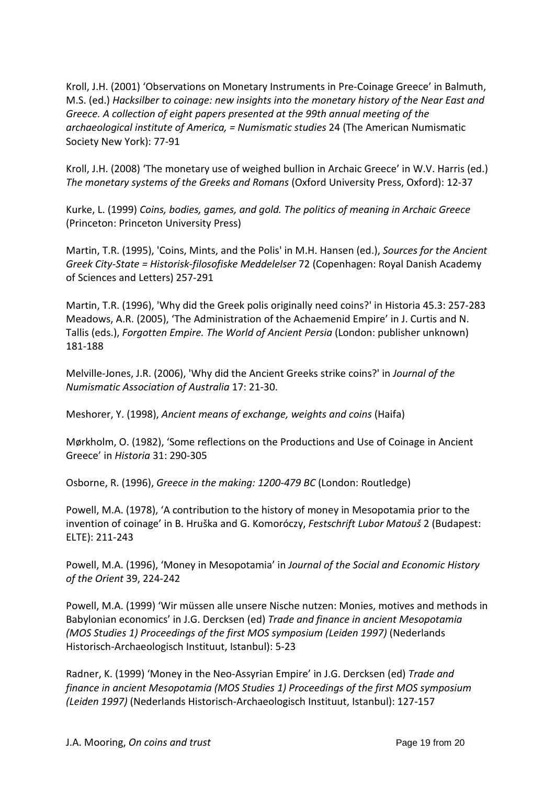Kroll, J.H. (2001) 'Observations on Monetary Instruments in Pre-Coinage Greece' in Balmuth, M.S. (ed.) *Hacksilber to coinage: new insights into the monetary history of the Near East and Greece. A collection of eight papers presented at the 99th annual meeting of the archaeological institute of America, = Numismatic studies* 24 (The American Numismatic Society New York): 77-91

Kroll, J.H. (2008) 'The monetary use of weighed bullion in Archaic Greece' in W.V. Harris (ed.) *The monetary systems of the Greeks and Romans* (Oxford University Press, Oxford): 12-37

Kurke, L. (1999) *Coins, bodies, games, and gold. The politics of meaning in Archaic Greece* (Princeton: Princeton University Press)

Martin, T.R. (1995), 'Coins, Mints, and the Polis' in M.H. Hansen (ed.), *Sources for the Ancient Greek City-State = Historisk-filosofiske Meddelelser* 72 (Copenhagen: Royal Danish Academy of Sciences and Letters) 257-291

Martin, T.R. (1996), 'Why did the Greek polis originally need coins?' in Historia 45.3: 257-283 Meadows, A.R. (2005), 'The Administration of the Achaemenid Empire' in J. Curtis and N. Tallis (eds.), *Forgotten Empire. The World of Ancient Persia* (London: publisher unknown) 181-188

Melville-Jones, J.R. (2006), 'Why did the Ancient Greeks strike coins?' in *Journal of the Numismatic Association of Australia* 17: 21-30.

Meshorer, Y. (1998), *Ancient means of exchange, weights and coins* (Haifa)

Mørkholm, O. (1982), 'Some reflections on the Productions and Use of Coinage in Ancient Greece' in *Historia* 31: 290-305

Osborne, R. (1996), *Greece in the making: 1200-479 BC* (London: Routledge)

Powell, M.A. (1978), 'A contribution to the history of money in Mesopotamia prior to the invention of coinage' in B. Hruška and G. Komoróczy, *Festschrift Lubor Matouš* 2 (Budapest: ELTE): 211-243

Powell, M.A. (1996), 'Money in Mesopotamia' in *Journal of the Social and Economic History of the Orient* 39, 224-242

Powell, M.A. (1999) 'Wir müssen alle unsere Nische nutzen: Monies, motives and methods in Babylonian economics' in J.G. Dercksen (ed) *Trade and finance in ancient Mesopotamia (MOS Studies 1) Proceedings of the first MOS symposium (Leiden 1997)* (Nederlands Historisch-Archaeologisch Instituut, Istanbul): 5-23

Radner, K. (1999) 'Money in the Neo-Assyrian Empire' in J.G. Dercksen (ed) *Trade and finance in ancient Mesopotamia (MOS Studies 1) Proceedings of the first MOS symposium (Leiden 1997)* (Nederlands Historisch-Archaeologisch Instituut, Istanbul): 127-157